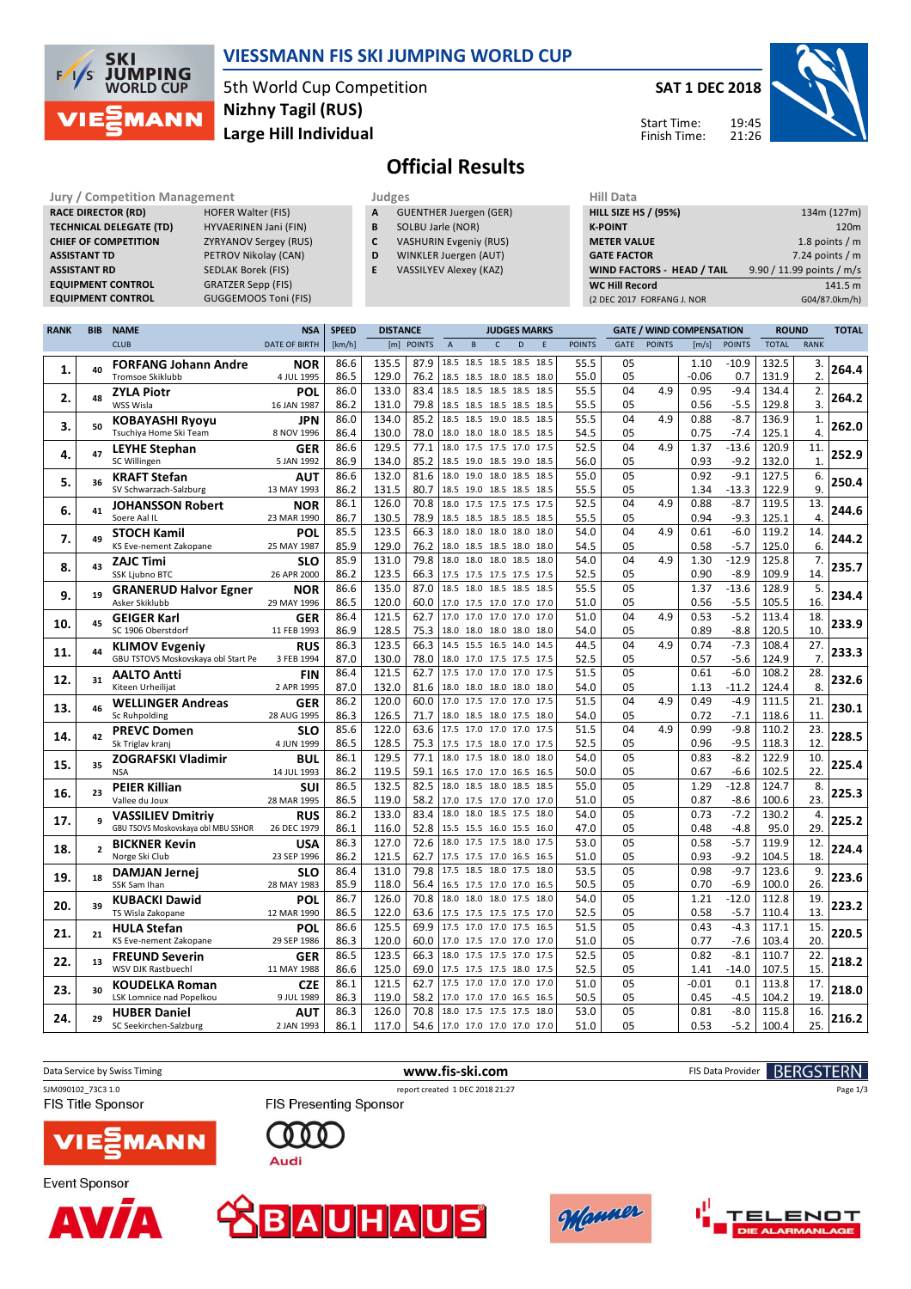

#### **VIESSMANN FIS SKI JUMPING WORLD CUP**

5th World Cup Competition **Large Hill Individual Nizhny Tagil (RUS)**

### **SAT 1 DEC 2018**



19:45 Start Time: Finish Time:

# **Official Results**

**Jury / Competition Management Judges Judges Hill Data**<br> **RACE DIRECTOR (RD)** HOFER Walter (FIS) **A** GUENTHER Juergen (GER) **HILL SIZE RACE DIRECTOR (RD) TECHNICAL DELEGATE (TD)** HYVAERINEN Jani (FIN) **CHIEF OF COMPETITION** ZYRYANOV Sergey (RUS) **ASSISTANT TD** PETROV Nikolay (CAN) **ASSISTANT RD** SEDLAK Borek (FIS)<br>**EQUIPMENT CONTROL** GRATZER Sepp (FIS) **EQUIPMENT CONTROL**<br>**EQUIPMENT CONTROL EQUIPMENT CONTROL** GUGGEMOOS Toni (FIS)

- **A** GUENTHER Juergen (GER)
- **B** SOLBU Jarle (NOR)
- **C** VASHURIN Evgeniy (RUS)
- **D** WINKLER Juergen (AUT)
- **E** VASSILYEV Alexey (KAZ)

| нш рата                     |                           |
|-----------------------------|---------------------------|
| <b>HILL SIZE HS / (95%)</b> | 134m (127m)               |
| <b>K-POINT</b>              | 120 <sub>m</sub>          |
| <b>METER VALUE</b>          | 1.8 points $/m$           |
| <b>GATE FACTOR</b>          | 7.24 points $/m$          |
| WIND FACTORS - HEAD / TAIL  | 9.90 / 11.99 points / m/s |
| <b>WC Hill Record</b>       | 141.5 m                   |
| (2 DEC 2017 FORFANG J. NOR  | G04/87.0km/h)             |
|                             |                           |

| <b>RANK</b> | <b>BIB</b>     | <b>NAME</b>                                  | <b>NSA</b>                | <b>SPEED</b> | <b>DISTANCE</b> |              |                |   |                     | <b>JUDGES MARKS</b>      |      |               |             |               | <b>GATE / WIND COMPENSATION</b> |                  | <b>ROUND</b>   |             | <b>TOTAL</b> |
|-------------|----------------|----------------------------------------------|---------------------------|--------------|-----------------|--------------|----------------|---|---------------------|--------------------------|------|---------------|-------------|---------------|---------------------------------|------------------|----------------|-------------|--------------|
|             |                | <b>CLUB</b>                                  | DATE OF BIRTH             | [km/h]       |                 | [m] POINTS   | $\overline{A}$ | B | $\mathsf{C}$        | D                        | E    | <b>POINTS</b> | <b>GATE</b> | <b>POINTS</b> | [m/s]                           | <b>POINTS</b>    | <b>TOTAL</b>   | <b>RANK</b> |              |
|             |                | <b>FORFANG Johann Andre</b>                  | <b>NOR</b>                | 86.6         | 135.5           | 87.9         |                |   |                     | 18.5 18.5 18.5 18.5 18.5 |      | 55.5          | 05          |               | 1.10                            | $-10.9$          | 132.5          | 3.          |              |
| 1.          | 40             | <b>Tromsoe Skiklubb</b>                      | 4 JUL 1995                | 86.5         | 129.0           | 76.2         |                |   |                     | 18.5 18.5 18.0 18.5 18.0 |      | 55.0          | 05          |               | $-0.06$                         | 0.7              | 131.9          | 2.          | 264.4        |
|             |                | <b>ZYLA Piotr</b>                            | POL                       | 86.0         | 133.0           | 83.4         |                |   |                     | 18.5 18.5 18.5 18.5 18.5 |      | 55.5          | 04          | 4.9           | 0.95                            | $-9.4$           | 134.4          | 2.          |              |
| 2.          | 48             | WSS Wisla                                    | 16 JAN 1987               | 86.2         | 131.0           | 79.8         |                |   |                     | 18.5 18.5 18.5 18.5 18.5 |      | 55.5          | 05          |               | 0.56                            | $-5.5$           | 129.8          | 3.          | 264.2        |
|             |                | <b>KOBAYASHI Ryoyu</b>                       | <b>JPN</b>                | 86.0         | 134.0           | 85.2         |                |   |                     | 18.5 18.5 19.0 18.5 18.5 |      | 55.5          | 04          | 4.9           | 0.88                            | $-8.7$           | 136.9          | 1.          |              |
| 3.          | 50             | Tsuchiya Home Ski Team                       | 8 NOV 1996                | 86.4         | 130.0           | 78.0         |                |   |                     | 18.0 18.0 18.0 18.5 18.5 |      | 54.5          | 05          |               | 0.75                            | $-7.4$           | 125.1          | 4.          | 262.0        |
|             |                | <b>LEYHE Stephan</b>                         | <b>GER</b>                | 86.6         | 129.5           | 77.1         |                |   |                     | 18.0 17.5 17.5 17.0 17.5 |      | 52.5          | 04          | 4.9           | 1.37                            | $-13.6$          | 120.9          | 11.         |              |
| 4.          | 47             | SC Willingen                                 | 5 JAN 1992                | 86.9         | 134.0           | 85.2         |                |   |                     | 18.5 19.0 18.5 19.0 18.5 |      | 56.0          | 05          |               | 0.93                            | $-9.2$           | 132.0          | 1.          | 252.9        |
|             |                | <b>KRAFT Stefan</b>                          | <b>AUT</b>                | 86.6         | 132.0           | 81.6         |                |   | 18.0 19.0 18.0 18.5 |                          | 18.5 | 55.0          | 05          |               | 0.92                            | $-9.1$           | 127.5          | 6.          |              |
| 5.          | 36             | SV Schwarzach-Salzburg                       | 13 MAY 1993               | 86.2         | 131.5           | 80.7         |                |   |                     | 18.5 19.0 18.5 18.5 18.5 |      | 55.5          | 05          |               | 1.34                            | $-13.3$          | 122.9          | 9.          | 250.4        |
|             |                | <b>JOHANSSON Robert</b>                      | <b>NOR</b>                | 86.1         | 126.0           | 70.8         |                |   | 18.0 17.5 17.5 17.5 |                          | 17.5 | 52.5          | 04          | 4.9           | 0.88                            | $-8.7$           | 119.5          | 13.         |              |
| 6.          | 41             | Soere Aal IL                                 | 23 MAR 1990               | 86.7         | 130.5           | 78.9         |                |   |                     | 18.5 18.5 18.5 18.5 18.5 |      | 55.5          | 05          |               | 0.94                            | $-9.3$           | 125.1          | 4.          | 244.6        |
|             |                | <b>STOCH Kamil</b>                           | POL                       | 85.5         | 123.5           | 66.3         |                |   | 18.0 18.0 18.0 18.0 |                          | 18.0 | 54.0          | 04          | 4.9           | 0.61                            | $-6.0$           | 119.2          | 14.         |              |
| 7.          | 49             | KS Eve-nement Zakopane                       | 25 MAY 1987               | 85.9         | 129.0           | 76.2         |                |   |                     | 18.0 18.5 18.5 18.0 18.0 |      | 54.5          | 05          |               | 0.58                            | $-5.7$           | 125.0          | 6.          | 244.2        |
|             | 43             | <b>ZAJC Timi</b>                             | <b>SLO</b>                | 85.9         | 131.0           | 79.8         |                |   | 18.0 18.0 18.0 18.5 |                          | 18.0 | 54.0          | 04          | 4.9           | 1.30                            | $-12.9$          | 125.8          | 7.          | 235.7        |
| 8.          |                | <b>SSK Ljubno BTC</b>                        | 26 APR 2000               | 86.2         | 123.5           | 66.3         |                |   |                     | 17.5 17.5 17.5 17.5 17.5 |      | 52.5          | 05          |               | 0.90                            | $-8.9$           | 109.9          | 14.         |              |
| 9.          | 19             | <b>GRANERUD Halvor Egner</b>                 | <b>NOR</b>                | 86.6         | 135.0           | 87.0         |                |   | 18.5 18.0 18.5 18.5 |                          | 18.5 | 55.5          | 05          |               | 1.37                            | $-13.6$          | 128.9          | 5.          | 234.4        |
|             |                | Asker Skiklubb                               | 29 MAY 1996               | 86.5         | 120.0           | 60.0         |                |   |                     | 17.0 17.5 17.0 17.0 17.0 |      | 51.0          | 05          |               | 0.56                            | $-5.5$           | 105.5          | 16.         |              |
| 10.         | 45             | <b>GEIGER Karl</b>                           | <b>GER</b>                | 86.4         | 121.5           | 62.7         |                |   | 17.0 17.0 17.0 17.0 |                          | 17.0 | 51.0          | 04          | 4.9           | 0.53                            | $-5.2$           | 113.4          | 18.         | 233.9        |
|             |                | SC 1906 Oberstdorf                           | 11 FEB 1993               | 86.9         | 128.5           | 75.3         |                |   |                     | 18.0 18.0 18.0 18.0 18.0 |      | 54.0          | 05          |               | 0.89                            | $-8.8$           | 120.5          | 10.         |              |
| 11.         | 44             | <b>KLIMOV Evgeniy</b>                        | <b>RUS</b>                | 86.3         | 123.5           | 66.3         |                |   | 14.5 15.5 16.5 14.0 |                          | 14.5 | 44.5          | 04          | 4.9           | 0.74                            | $-7.3$           | 108.4          | 27.         | 233.3        |
|             |                | GBU TSTOVS Moskovskaya obl Start Pe          | 3 FEB 1994                | 87.0         | 130.0           | 78.0         |                |   |                     | 18.0 17.0 17.5 17.5 17.5 |      | 52.5          | 05          |               | 0.57                            | $-5.6$           | 124.9          | 7.          |              |
| 12.         | 31             | <b>AALTO Antti</b>                           | <b>FIN</b>                | 86.4         | 121.5           | 62.7         |                |   |                     | 17.5 17.0 17.0 17.0 17.5 |      | 51.5          | 05          |               | 0.61                            | $-6.0$           | 108.2          | 28.         | 232.6        |
|             |                | Kiteen Urheilijat                            | 2 APR 1995                | 87.0         | 132.0           | 81.6         |                |   |                     | 18.0 18.0 18.0 18.0 18.0 |      | 54.0          | 05          |               | 1.13                            | $-11.2$          | 124.4          | 8.          |              |
| 13.         | 46             | <b>WELLINGER Andreas</b>                     | <b>GER</b>                | 86.2         | 120.0           | 60.0         |                |   | 17.0 17.5 17.0 17.0 |                          | 17.5 | 51.5          | 04          | 4.9           | 0.49                            | $-4.9$           | 111.5          | 21.         | 230.1        |
|             |                | Sc Ruhpolding                                | 28 AUG 1995               | 86.3         | 126.5           | 71.7         |                |   |                     | 18.0 18.5 18.0 17.5 18.0 |      | 54.0          | 05          |               | 0.72                            | $-7.1$           | 118.6          | 11.         |              |
| 14.         | 42             | <b>PREVC Domen</b>                           | <b>SLO</b>                | 85.6         | 122.0           | 63.6         |                |   |                     | 17.5 17.0 17.0 17.0 17.5 |      | 51.5          | 04          | 4.9           | 0.99                            | $-9.8$           | 110.2          | 23.         | 228.5        |
|             |                | Sk Triglav kranj                             | 4 JUN 1999                | 86.5         | 128.5           | 75.3         |                |   |                     | 17.5 17.5 18.0 17.0 17.5 |      | 52.5          | 05          |               | 0.96                            | $-9.5$           | 118.3          | 12.         |              |
| 15.         | 35             | <b>ZOGRAFSKI Vladimir</b>                    | <b>BUL</b>                | 86.1         | 129.5           | 77.1         |                |   | 18.0 17.5 18.0 18.0 |                          | 18.0 | 54.0          | 05          |               | 0.83                            | $-8.2$           | 122.9          | 10.         | 225.4        |
|             |                | <b>NSA</b>                                   | 14 JUL 1993               | 86.2         | 119.5           | 59.1         |                |   |                     | 16.5 17.0 17.0 16.5 16.5 |      | 50.0          | 05          |               | 0.67                            | $-6.6$           | 102.5          | 22.         |              |
| 16.         | 23             | <b>PEIER Killian</b>                         | SUI                       | 86.5         | 132.5           | 82.5         |                |   | 18.0 18.5 18.0 18.5 |                          | 18.5 | 55.0          | 05          |               | 1.29                            | $-12.8$          | 124.7          | 8.          | 225.3        |
|             |                | Vallee du Joux                               | 28 MAR 1995               | 86.5         | 119.0           | 58.2         |                |   |                     | 17.0 17.5 17.0 17.0 17.0 |      | 51.0          | 05          |               | 0.87                            | $-8.6$           | 100.6          | 23.         |              |
| 17.         | q              | <b>VASSILIEV Dmitriy</b>                     | <b>RUS</b>                | 86.2         | 133.0           | 83.4         |                |   |                     | 18.0 18.0 18.5 17.5 18.0 |      | 54.0          | 05          |               | 0.73                            | $-7.2$           | 130.2          | 4.          | 225.2        |
|             |                | GBU TSOVS Moskovskaya obl MBU SSHOR          | 26 DEC 1979               | 86.1         | 116.0           | 52.8         |                |   |                     | 15.5 15.5 16.0 15.5 16.0 |      | 47.0          | 05          |               | 0.48                            | $-4.8$           | 95.0           | 29.         |              |
| 18.         | $\overline{2}$ | <b>BICKNER Kevin</b>                         | <b>USA</b>                | 86.3         | 127.0           | 72.6         |                |   | 18.0 17.5 17.5 18.0 |                          | 17.5 | 53.0          | 05          |               | 0.58                            | $-5.7$           | 119.9          | 12.         | 224.4        |
|             |                | Norge Ski Club                               | 23 SEP 1996               | 86.2<br>86.4 | 121.5<br>131.0  | 62.7<br>79.8 |                |   | 17.5 18.5 18.0 17.5 | 17.5 17.5 17.0 16.5 16.5 | 18.0 | 51.0<br>53.5  | 05<br>05    |               | 0.93<br>0.98                    | $-9.2$<br>$-9.7$ | 104.5<br>123.6 | 18.<br>9.   |              |
| 19.         | 18             | <b>DAMJAN Jernej</b><br>SSK Sam Ihan         | <b>SLO</b><br>28 MAY 1983 | 85.9         | 118.0           | 56.4         |                |   |                     | 16.5 17.5 17.0 17.0 16.5 |      | 50.5          | 05          |               | 0.70                            | $-6.9$           | 100.0          | 26.         | 223.6        |
|             |                |                                              |                           | 86.7         | 126.0           | 70.8         |                |   |                     | 18.0 18.0 18.0 17.5 18.0 |      | 54.0          | 05          |               | 1.21                            | $-12.0$          | 112.8          | 19.         |              |
| 20.         | 39             | <b>KUBACKI Dawid</b><br>TS Wisla Zakopane    | POL<br>12 MAR 1990        | 86.5         | 122.0           | 63.6         |                |   |                     | 17.5 17.5 17.5 17.5 17.0 |      | 52.5          | 05          |               | 0.58                            | $-5.7$           | 110.4          | 13.         | 223.2        |
|             |                |                                              | POL                       | 86.6         | 125.5           | 69.9         |                |   |                     | 17.5 17.0 17.0 17.5 16.5 |      | 51.5          | 05          |               | 0.43                            | $-4.3$           | 117.1          | 15.         |              |
| 21.         | 21             | <b>HULA Stefan</b><br>KS Eve-nement Zakopane | 29 SEP 1986               | 86.3         | 120.0           | 60.0         |                |   |                     | 17.0 17.5 17.0 17.0 17.0 |      | 51.0          | 05          |               | 0.77                            | $-7.6$           | 103.4          | 20.         | 220.5        |
|             |                | <b>FREUND Severin</b>                        | <b>GER</b>                | 86.5         | 123.5           | 66.3         |                |   | 18.0 17.5 17.5 17.0 |                          | 17.5 | 52.5          | 05          |               | 0.82                            | $-8.1$           | 110.7          | 22.         |              |
| 22.         | 13             | <b>WSV DJK Rastbuechl</b>                    | 11 MAY 1988               | 86.6         | 125.0           | 69.0         |                |   |                     | 17.5 17.5 17.5 18.0 17.5 |      | 52.5          | 05          |               | 1.41                            | $-14.0$          | 107.5          | 15.         | 218.2        |
|             |                | <b>KOUDELKA Roman</b>                        | <b>CZE</b>                | 86.1         | 121.5           | 62.7         |                |   | 17.5 17.0 17.0 17.0 |                          | 17.0 | 51.0          | 05          |               | $-0.01$                         | 0.1              | 113.8          | 17.         |              |
| 23.         | 30             | LSK Lomnice nad Popelkou                     | 9 JUL 1989                | 86.3         | 119.0           | 58.2         |                |   |                     | 17.0 17.0 17.0 16.5 16.5 |      | 50.5          | 05          |               | 0.45                            | $-4.5$           | 104.2          | 19.         | 218.0        |
|             |                | <b>HUBER Daniel</b>                          | <b>AUT</b>                | 86.3         | 126.0           | 70.8         |                |   | 18.0 17.5 17.5 17.5 |                          | 18.0 | 53.0          | 05          |               | 0.81                            | $-8.0$           | 115.8          | 16.         |              |
| 24.         | 29             | SC Seekirchen-Salzburg                       | 2 JAN 1993                | 86.1         | 117.0           | 54.6         |                |   |                     | 17.0 17.0 17.0 17.0 17.0 |      | 51.0          | 05          |               | 0.53                            | $-5.2$           | 100.4          | 25.         | 216.2        |

| Data Service by Swiss Timing | www.fis-ski.com                 | FIS Data Provider   BERGSTERN |
|------------------------------|---------------------------------|-------------------------------|
| SJM090102_73C3 1.0           | report created 1 DEC 2018 21:27 | Page 1/3                      |
| FIS Title Sponsor            | <b>FIS Presenting Sponsor</b>   |                               |
| <b>VIESMANN</b>              | Audi                            |                               |
| Event Sponsor                |                                 |                               |







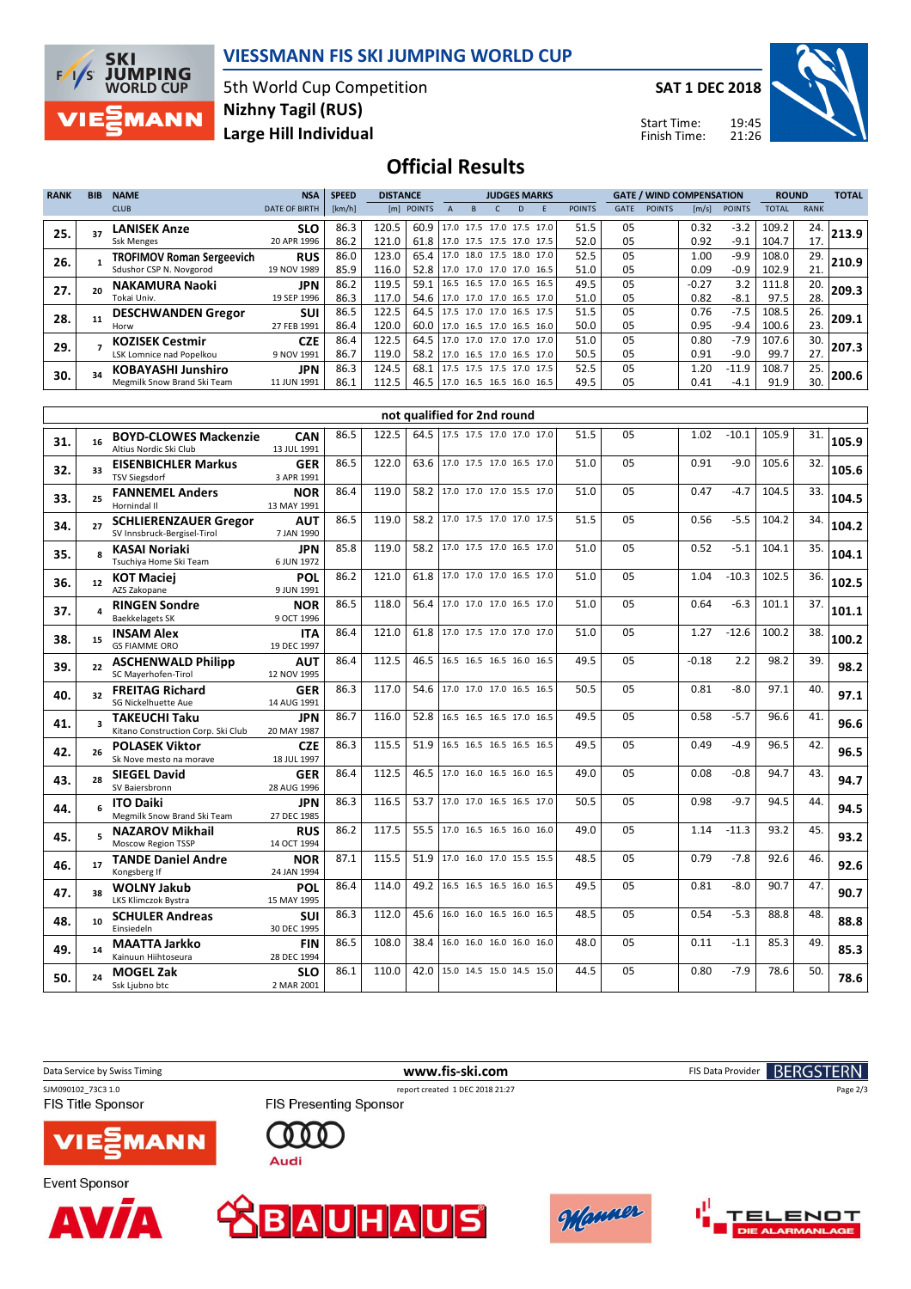

#### **VIESSMANN FIS SKI JUMPING WORLD CUP**

5th World Cup Competition **Large Hill Individual Nizhny Tagil (RUS)**

**SAT 1 DEC 2018**

Start Time: Finish Time:



## **Official Results**

| <b>RANK</b> | <b>BIB</b> | <b>NAME</b>                      | <b>NSA</b>           | <b>SPEED</b> | <b>DISTANCE</b> |                                 |      |  | <b>JUDGES MARKS</b>      |               |             | <b>GATE / WIND COMPENSATION</b> |         |               | <b>ROUND</b> |             | <b>TOTAL</b> |
|-------------|------------|----------------------------------|----------------------|--------------|-----------------|---------------------------------|------|--|--------------------------|---------------|-------------|---------------------------------|---------|---------------|--------------|-------------|--------------|
|             |            | <b>CLUB</b>                      | <b>DATE OF BIRTH</b> | [km/h]       |                 | [m] POINTS                      |      |  |                          | <b>POINTS</b> | <b>GATE</b> | <b>POINTS</b>                   | [m/s]   | <b>POINTS</b> | <b>TOTAL</b> | <b>RANK</b> |              |
| 25.         |            | LANISEK Anze                     | <b>SLO</b>           | 86.3         | 120.5           | 60.9 17.0 17.5 17.0 17.5 17.0   |      |  |                          | 51.5          | 05          |                                 | 0.32    | $-3.2$        | 109.2        | 24.         | 213.9        |
|             |            | <b>Ssk Menges</b>                | 20 APR 1996          | 86.2         | 121.0           | 61.8   17.0 17.5 17.5 17.0 17.5 |      |  |                          | 52.0          | 05          |                                 | 0.92    | $-9.1$        | 104.7        | 17.         |              |
| 26.         |            | <b>TROFIMOV Roman Sergeevich</b> | <b>RUS</b>           | 86.0         | 123.0           | 65.4                            |      |  | 17.0 18.0 17.5 18.0 17.0 | 52.5          | 05          |                                 | 1.00    | $-9.9$        | 108.0        | 29.         | 210.9        |
|             |            | Sdushor CSP N. Novgorod          | 19 NOV 1989          | 85.9         | 116.0           | 52.8 17.0 17.0 17.0 17.0 16.5   |      |  |                          | 51.0          | 05          |                                 | 0.09    | $-0.9$        | 102.9        | 21.         |              |
| 27.         |            | <b>NAKAMURA Naoki</b>            | JPN                  | 86.2         | 119.5           | 59.1                            |      |  | 16.5 16.5 17.0 16.5 16.5 | 49.5          | 05          |                                 | $-0.27$ | 3.2           | 111.8        | 20.         | 209.3        |
|             |            | Tokai Univ.                      | 19 SEP 1996          | 86.3         | 117.0           | 54.6   17.0 17.0 17.0 16.5 17.0 |      |  |                          | 51.0          | 05          |                                 | 0.82    | $-8.1$        | 97.5         | 28.         |              |
| 28.         |            | <b>DESCHWANDEN Gregor</b>        | <b>SUI</b>           | 86.5         | 122.5           | 64.5                            |      |  | 17.5 17.0 17.0 16.5 17.5 | 51.5          | 05          |                                 | 0.76    | $-7.5$        | 108.5        | 26.         | 209.1        |
|             |            | Horw                             | 27 FEB 1991          | 86.4         | 120.0           | 60.0 17.0 16.5 17.0 16.5 16.0   |      |  |                          | 50.0          | 05          |                                 | 0.95    | $-9.4$        | 100.6        | 23.         |              |
| 29.         |            | <b>KOZISEK Cestmir</b>           | <b>CZE</b>           | 86.4         | 122.5           | 64.5                            |      |  | 17.0 17.0 17.0 17.0 17.0 | 51.0          | 05          |                                 | 0.80    | $-7.9$        | 107.6        | 30.         | 207.3        |
|             |            | LSK Lomnice nad Popelkou         | 9 NOV 1991           | 86.7         | 119.0           | 58.2 17.0 16.5 17.0 16.5 17.0   |      |  |                          | 50.5          | 05          |                                 | 0.91    | $-9.0$        | 99.7         | 27.         |              |
| 30.         |            | <b>KOBAYASHI Junshiro</b>        | JPN                  | 86.3         | 124.5           | 68.1                            | 17.5 |  | 17.5 17.5 17.0 17.5      | 52.5          | 05          |                                 | 1.20    | $-11.9$       | 108.7        | 25.         | 200.6        |
|             |            | Megmilk Snow Brand Ski Team      | 11 JUN 1991          | 86.1         | 112.5           | 46.5 17.0 16.5 16.5 16.0 16.5   |      |  |                          | 49.5          | 05          |                                 | 0.41    | $-4.1$        | 91.9         | 30.         |              |

|     |    |                                                             |                           |      |       |      | not qualified for 2nd round   |      |    |         |         |       |     |       |
|-----|----|-------------------------------------------------------------|---------------------------|------|-------|------|-------------------------------|------|----|---------|---------|-------|-----|-------|
| 31. | 16 | <b>BOYD-CLOWES Mackenzie</b><br>Altius Nordic Ski Club      | <b>CAN</b><br>13 JUL 1991 | 86.5 | 122.5 |      | 64.5 17.5 17.5 17.0 17.0 17.0 | 51.5 | 05 | 1.02    | $-10.1$ | 105.9 | 31. | 105.9 |
| 32. | 33 | <b>EISENBICHLER Markus</b><br><b>TSV Siegsdorf</b>          | <b>GER</b><br>3 APR 1991  | 86.5 | 122.0 | 63.6 | 17.0 17.5 17.0 16.5 17.0      | 51.0 | 05 | 0.91    | $-9.0$  | 105.6 | 32. | 105.6 |
| 33. | 25 | <b>FANNEMEL Anders</b><br>Hornindal II                      | <b>NOR</b><br>13 MAY 1991 | 86.4 | 119.0 | 58.2 | 17.0 17.0 17.0 15.5 17.0      | 51.0 | 05 | 0.47    | $-4.7$  | 104.5 | 33. | 104.5 |
| 34. | 27 | <b>SCHLIERENZAUER Gregor</b><br>SV Innsbruck-Bergisel-Tirol | <b>AUT</b><br>7 JAN 1990  | 86.5 | 119.0 | 58.2 | 17.0 17.5 17.0 17.0 17.5      | 51.5 | 05 | 0.56    | $-5.5$  | 104.2 | 34. | 104.2 |
| 35. |    | <b>KASAI Noriaki</b><br>Tsuchiya Home Ski Team              | <b>JPN</b><br>6 JUN 1972  | 85.8 | 119.0 |      | 58.2 17.0 17.5 17.0 16.5 17.0 | 51.0 | 05 | 0.52    | $-5.1$  | 104.1 | 35. | 104.1 |
| 36. | 12 | <b>KOT Maciej</b><br>AZS Zakopane                           | POL<br>9 JUN 1991         | 86.2 | 121.0 | 61.8 | 17.0 17.0 17.0 16.5 17.0      | 51.0 | 05 | 1.04    | $-10.3$ | 102.5 | 36. | 102.5 |
| 37. |    | <b>RINGEN Sondre</b><br><b>Baekkelagets SK</b>              | <b>NOR</b><br>9 OCT 1996  | 86.5 | 118.0 | 56.4 | 17.0 17.0 17.0 16.5 17.0      | 51.0 | 05 | 0.64    | $-6.3$  | 101.1 | 37. | 101.1 |
| 38. | 15 | <b>INSAM Alex</b><br><b>GS FIAMME ORO</b>                   | <b>ITA</b><br>19 DEC 1997 | 86.4 | 121.0 | 61.8 | 17.0 17.5 17.0 17.0 17.0      | 51.0 | 05 | 1.27    | $-12.6$ | 100.2 | 38. | 100.2 |
| 39. | 22 | <b>ASCHENWALD Philipp</b><br>SC Mayerhofen-Tirol            | <b>AUT</b><br>12 NOV 1995 | 86.4 | 112.5 | 46.5 | 16.5 16.5 16.5 16.0 16.5      | 49.5 | 05 | $-0.18$ | 2.2     | 98.2  | 39. | 98.2  |
| 40. | 32 | <b>FREITAG Richard</b><br>SG Nickelhuette Aue               | <b>GER</b><br>14 AUG 1991 | 86.3 | 117.0 | 54.6 | 17.0 17.0 17.0 16.5 16.5      | 50.5 | 05 | 0.81    | $-8.0$  | 97.1  | 40. | 97.1  |
| 41. | 3  | <b>TAKEUCHI Taku</b><br>Kitano Construction Corp. Ski Club  | <b>JPN</b><br>20 MAY 1987 | 86.7 | 116.0 | 52.8 | 16.5 16.5 16.5 17.0 16.5      | 49.5 | 05 | 0.58    | $-5.7$  | 96.6  | 41. | 96.6  |
| 42. | 26 | <b>POLASEK Viktor</b><br>Sk Nove mesto na morave            | <b>CZE</b><br>18 JUL 1997 | 86.3 | 115.5 | 51.9 | 16.5 16.5 16.5 16.5 16.5      | 49.5 | 05 | 0.49    | $-4.9$  | 96.5  | 42. | 96.5  |
| 43. | 28 | <b>SIEGEL David</b><br>SV Baiersbronn                       | <b>GER</b><br>28 AUG 1996 | 86.4 | 112.5 | 46.5 | 17.0 16.0 16.5 16.0 16.5      | 49.0 | 05 | 0.08    | $-0.8$  | 94.7  | 43. | 94.7  |
| 44. |    | <b>ITO Daiki</b><br>Megmilk Snow Brand Ski Team             | <b>JPN</b><br>27 DEC 1985 | 86.3 | 116.5 | 53.7 | 17.0 17.0 16.5 16.5 17.0      | 50.5 | 05 | 0.98    | $-9.7$  | 94.5  | 44. | 94.5  |
| 45. |    | <b>NAZAROV Mikhail</b><br>Moscow Region TSSP                | <b>RUS</b><br>14 OCT 1994 | 86.2 | 117.5 | 55.5 | 17.0 16.5 16.5 16.0 16.0      | 49.0 | 05 | 1.14    | $-11.3$ | 93.2  | 45. | 93.2  |
| 46. | 17 | <b>TANDE Daniel Andre</b><br>Kongsberg If                   | <b>NOR</b><br>24 JAN 1994 | 87.1 | 115.5 | 51.9 | 17.0 16.0 17.0 15.5 15.5      | 48.5 | 05 | 0.79    | $-7.8$  | 92.6  | 46. | 92.6  |
| 47. | 38 | <b>WOLNY Jakub</b><br>LKS Klimczok Bystra                   | POL<br>15 MAY 1995        | 86.4 | 114.0 | 49.2 | 16.5 16.5 16.5 16.0 16.5      | 49.5 | 05 | 0.81    | $-8.0$  | 90.7  | 47. | 90.7  |
| 48. | 10 | <b>SCHULER Andreas</b><br>Einsiedeln                        | <b>SUI</b><br>30 DEC 1995 | 86.3 | 112.0 | 45.6 | 16.0 16.0 16.5 16.0 16.5      | 48.5 | 05 | 0.54    | $-5.3$  | 88.8  | 48. | 88.8  |
| 49. | 14 | <b>MAATTA Jarkko</b><br>Kainuun Hiihtoseura                 | <b>FIN</b><br>28 DEC 1994 | 86.5 | 108.0 | 38.4 | 16.0 16.0 16.0 16.0 16.0      | 48.0 | 05 | 0.11    | $-1.1$  | 85.3  | 49. | 85.3  |
| 50. | 24 | <b>MOGEL Zak</b><br>Ssk Ljubno btc                          | <b>SLO</b><br>2 MAR 2001  | 86.1 | 110.0 | 42.0 | 15.0 14.5 15.0 14.5 15.0      | 44.5 | 05 | 0.80    | $-7.9$  | 78.6  | 50. | 78.6  |





**Data Service by Swiss Timing www.fis-ski.com** FIS Data Provider **BERGSTERN** 

FIS Title Sponsor

**Event Sponsor** 

AVÍA



0 O O Audi







Page 2/3